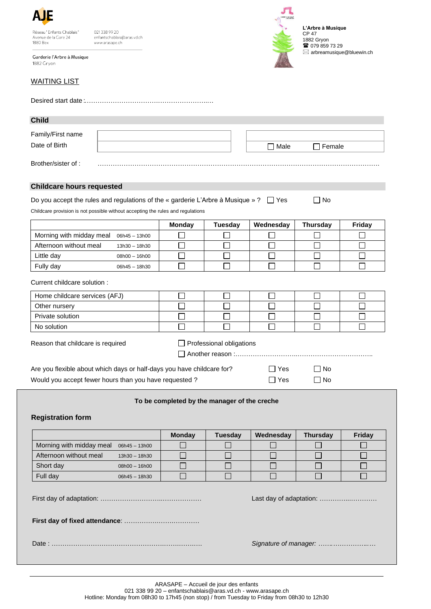| А                                                             |  |
|---------------------------------------------------------------|--|
| Réseau "Enfants Chablais"<br>Avenue de la Gare 24<br>1880 Bex |  |

0213389920 enfantschablais@aras.vd.ch www.arasape.ch

Garderie l'Arbre à Musique 1882 Grvon





**L'Arbre à Musique** CP 47 1882 Gryon ■ 079 859 73 29  $\boxtimes$  arbreamusique@bluewin.ch

| <b>Child</b>                     |                                                                                                                                                                               |        |           |
|----------------------------------|-------------------------------------------------------------------------------------------------------------------------------------------------------------------------------|--------|-----------|
| Family/First name                |                                                                                                                                                                               |        |           |
| Date of Birth                    |                                                                                                                                                                               | □ Male | Female    |
| Brother/sister of:               |                                                                                                                                                                               |        |           |
| <b>Childcare hours requested</b> |                                                                                                                                                                               |        |           |
|                                  | Do you accept the rules and regulations of the « garderie L'Arbre à Musique » ? $\Box$ Yes<br>Childcare provision is not possible without accepting the rules and regulations |        | $\Box$ No |

|                                        |                 | <b>Monday</b> | <b>Tuesday</b> | Wednesday | <b>Thursday</b> | Friday |
|----------------------------------------|-----------------|---------------|----------------|-----------|-----------------|--------|
| Morning with midday meal 06h45 - 13h00 |                 |               |                |           |                 |        |
| Afternoon without meal                 | $13h30 - 18h30$ |               |                |           |                 |        |
| Little day                             | $08h00 - 16h00$ |               |                |           |                 |        |
| Fully day                              | 06h45 - 18h30   |               |                |           |                 |        |

Current childcare solution :

| Home childcare services (AFJ) |  |  |  |
|-------------------------------|--|--|--|
| Other nursery                 |  |  |  |
| Private solution              |  |  |  |
| No solution                   |  |  |  |

Reason that childcare is required <br> **Example 1** Professional obligations

Another reason :………………………..……………………………..

Are you flexible about which days or half-days you have childcare for?  $\Box$  Yes  $\Box$  No Would you accept fewer hours than you have requested ?  $\Box$  Yes  $\Box$  No

| <b>Yes</b> |  |
|------------|--|

## **To be completed by the manager of the creche Registration form Monday Tuesday Wednesday Thursday Friday** Morning with midday meal 06h45 - 13h00 П  $\Box$  $\Box$  $\Box$ П Afternoon without meal 13h30 – 18h30  $\Box$  $\Box$  $\Box$  $\Box$  $\Box$ Short day 08h00 – 16h00  $\Box$  $\Box$  $\Box$  $\Box$  $\Box$ Full day 06h45 – 18h30  $\Box$  $\Box$  $\Box$  $\Box$  $\Box$ First day of adaptation: ………………………..……………… Last day of adaptation: …………...………… **First day of fixed attendance**: …………….…….………… Date : …………………………………………….…….…….…. *Signature of manager: …….……………..…*